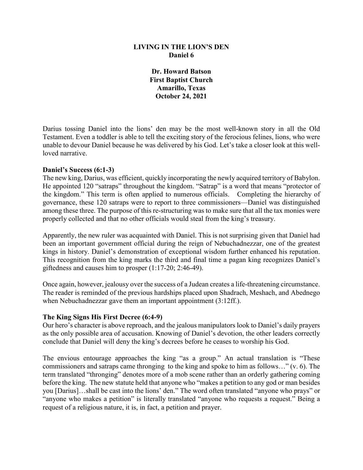## **LIVING IN THE LION'S DEN Daniel 6**

**Dr. Howard Batson First Baptist Church Amarillo, Texas October 24, 2021**

Darius tossing Daniel into the lions' den may be the most well-known story in all the Old Testament. Even a toddler is able to tell the exciting story of the ferocious felines, lions, who were unable to devour Daniel because he was delivered by his God. Let's take a closer look at this wellloved narrative.

### **Daniel's Success (6:1-3)**

The new king, Darius, was efficient, quickly incorporating the newly acquired territory of Babylon. He appointed 120 "satraps" throughout the kingdom. "Satrap" is a word that means "protector of the kingdom." This term is often applied to numerous officials. Completing the hierarchy of governance, these 120 satraps were to report to three commissioners—Daniel was distinguished among these three. The purpose of this re-structuring was to make sure that all the tax monies were properly collected and that no other officials would steal from the king's treasury.

Apparently, the new ruler was acquainted with Daniel. This is not surprising given that Daniel had been an important government official during the reign of Nebuchadnezzar, one of the greatest kings in history. Daniel's demonstration of exceptional wisdom further enhanced his reputation. This recognition from the king marks the third and final time a pagan king recognizes Daniel's giftedness and causes him to prosper (1:17-20; 2:46-49).

Once again, however, jealousy over the success of a Judean creates a life-threatening circumstance. The reader is reminded of the previous hardships placed upon Shadrach, Meshach, and Abednego when Nebuchadnezzar gave them an important appointment (3:12ff.).

#### **The King Signs His First Decree (6:4-9)**

Our hero's character is above reproach, and the jealous manipulators look to Daniel's daily prayers as the only possible area of accusation. Knowing of Daniel's devotion, the other leaders correctly conclude that Daniel will deny the king's decrees before he ceases to worship his God.

The envious entourage approaches the king "as a group." An actual translation is "These commissioners and satraps came thronging to the king and spoke to him as follows…" (v. 6). The term translated "thronging" denotes more of a mob scene rather than an orderly gathering coming before the king. The new statute held that anyone who "makes a petition to any god or man besides you [Darius]…shall be cast into the lions' den." The word often translated "anyone who prays" or "anyone who makes a petition" is literally translated "anyone who requests a request." Being a request of a religious nature, it is, in fact, a petition and prayer.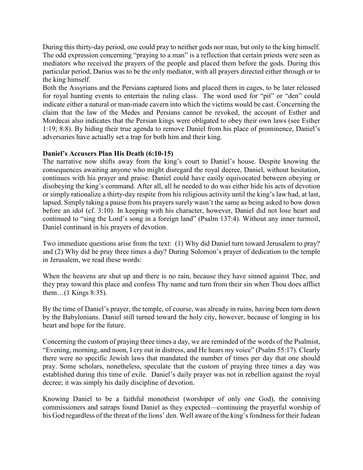During this thirty-day period, one could pray to neither gods nor man, but only to the king himself. The odd expression concerning "praying to a man" is a reflection that certain priests were seen as mediators who received the prayers of the people and placed them before the gods. During this particular period, Darius was to be the only mediator, with all prayers directed either through or to the king himself.

Both the Assyrians and the Persians captured lions and placed them in cages, to be later released for royal hunting events to entertain the ruling class. The word used for "pit" or "den" could indicate either a natural or man-made cavern into which the victims would be cast. Concerning the claim that the law of the Medes and Persians cannot be revoked, the account of Esther and Mordecai also indicates that the Persian kings were obligated to obey their own laws (see Esther 1:19; 8:8). By hiding their true agenda to remove Daniel from his place of prominence, Daniel's adversaries have actually set a trap for both him and their king.

# **Daniel's Accusers Plan His Death (6:10-15)**

The narrative now shifts away from the king's court to Daniel's house. Despite knowing the consequences awaiting anyone who might disregard the royal decree, Daniel, without hesitation, continues with his prayer and praise. Daniel could have easily equivocated between obeying or disobeying the king's command. After all, all he needed to do was either hide his acts of devotion or simply rationalize a thirty-day respite from his religious activity until the king's law had, at last, lapsed. Simply taking a pause from his prayers surely wasn't the same as being asked to bow down before an idol (cf. 3:10). In keeping with his character, however, Daniel did not lose heart and continued to "sing the Lord's song in a foreign land" (Psalm 137:4). Without any inner turmoil, Daniel continued in his prayers of devotion.

Two immediate questions arise from the text: (1) Why did Daniel turn toward Jerusalem to pray? and (2) Why did he pray three times a day? During Solomon's prayer of dedication to the temple in Jerusalem, we read these words:

When the heavens are shut up and there is no rain, because they have sinned against Thee, and they pray toward this place and confess Thy name and turn from their sin when Thou does afflict them…(1 Kings 8:35).

By the time of Daniel's prayer, the temple, of course, was already in ruins, having been torn down by the Babylonians. Daniel still turned toward the holy city, however, because of longing in his heart and hope for the future.

Concerning the custom of praying three times a day, we are reminded of the words of the Psalmist, "Evening, morning, and noon, I cry out in distress, and He hears my voice" (Psalm 55:17). Clearly there were no specific Jewish laws that mandated the number of times per day that one should pray. Some scholars, nonetheless, speculate that the custom of praying three times a day was established during this time of exile. Daniel's daily prayer was not in rebellion against the royal decree; it was simply his daily discipline of devotion.

Knowing Daniel to be a faithful monotheist (worshiper of only one God), the conniving commissioners and satraps found Daniel as they expected—continuing the prayerful worship of his God regardless of the threat of the lions' den. Well aware of the king's fondness for their Judean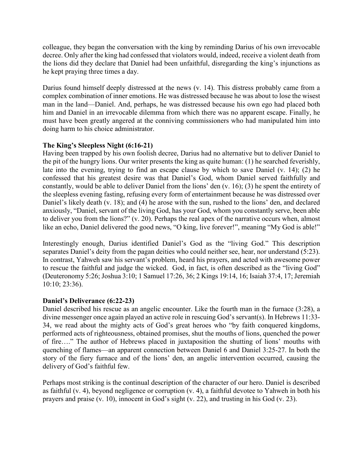colleague, they began the conversation with the king by reminding Darius of his own irrevocable decree. Only after the king had confessed that violators would, indeed, receive a violent death from the lions did they declare that Daniel had been unfaithful, disregarding the king's injunctions as he kept praying three times a day.

Darius found himself deeply distressed at the news (v. 14). This distress probably came from a complex combination of inner emotions. He was distressed because he was about to lose the wisest man in the land—Daniel. And, perhaps, he was distressed because his own ego had placed both him and Daniel in an irrevocable dilemma from which there was no apparent escape. Finally, he must have been greatly angered at the conniving commissioners who had manipulated him into doing harm to his choice administrator.

# **The King's Sleepless Night (6:16-21)**

Having been trapped by his own foolish decree, Darius had no alternative but to deliver Daniel to the pit of the hungry lions. Our writer presents the king as quite human: (1) he searched feverishly, late into the evening, trying to find an escape clause by which to save Daniel (v. 14); (2) he confessed that his greatest desire was that Daniel's God, whom Daniel served faithfully and constantly, would be able to deliver Daniel from the lions' den (v. 16); (3) he spent the entirety of the sleepless evening fasting, refusing every form of entertainment because he was distressed over Daniel's likely death (v. 18); and (4) he arose with the sun, rushed to the lions' den, and declared anxiously, "Daniel, servant of the living God, has your God, whom you constantly serve, been able to deliver you from the lions?" (v. 20). Perhaps the real apex of the narrative occurs when, almost like an echo, Daniel delivered the good news, "O king, live forever!", meaning "My God is able!"

Interestingly enough, Darius identified Daniel's God as the "living God." This description separates Daniel's deity from the pagan deities who could neither see, hear, nor understand (5:23). In contrast, Yahweh saw his servant's problem, heard his prayers, and acted with awesome power to rescue the faithful and judge the wicked. God, in fact, is often described as the "living God" (Deuteronomy 5:26; Joshua 3:10; 1 Samuel 17:26, 36; 2 Kings 19:14, 16; Isaiah 37:4, 17; Jeremiah 10:10; 23:36).

## **Daniel's Deliverance (6:22-23)**

Daniel described his rescue as an angelic encounter. Like the fourth man in the furnace (3:28), a divine messenger once again played an active role in rescuing God's servant(s). In Hebrews 11:33- 34, we read about the mighty acts of God's great heroes who "by faith conquered kingdoms, performed acts of righteousness, obtained promises, shut the mouths of lions, quenched the power of fire…." The author of Hebrews placed in juxtaposition the shutting of lions' mouths with quenching of flames—an apparent connection between Daniel 6 and Daniel 3:25-27. In both the story of the fiery furnace and of the lions' den, an angelic intervention occurred, causing the delivery of God's faithful few.

Perhaps most striking is the continual description of the character of our hero. Daniel is described as faithful (v. 4), beyond negligence or corruption (v. 4), a faithful devotee to Yahweh in both his prayers and praise (v. 10), innocent in God's sight (v. 22), and trusting in his God (v. 23).